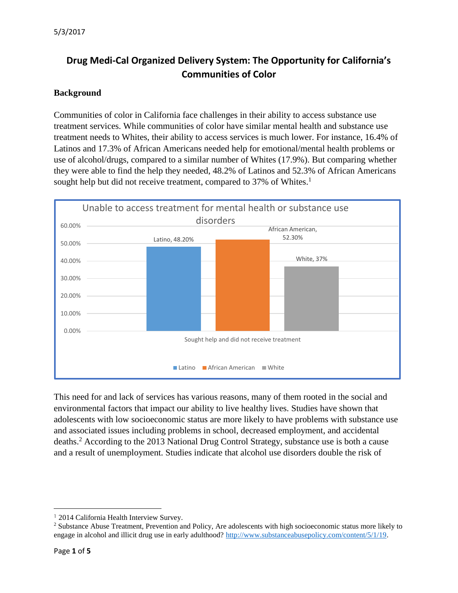# **Drug Medi-Cal Organized Delivery System: The Opportunity for California's Communities of Color**

## **Background**

Communities of color in California face challenges in their ability to access substance use treatment services. While communities of color have similar mental health and substance use treatment needs to Whites, their ability to access services is much lower. For instance, 16.4% of Latinos and 17.3% of African Americans needed help for emotional/mental health problems or use of alcohol/drugs, compared to a similar number of Whites (17.9%). But comparing whether they were able to find the help they needed, 48.2% of Latinos and 52.3% of African Americans sought help but did not receive treatment, compared to 37% of Whites.<sup>1</sup>



This need for and lack of services has various reasons, many of them rooted in the social and environmental factors that impact our ability to live healthy lives. Studies have shown that adolescents with low socioeconomic status are more likely to have problems with substance use and associated issues including problems in school, decreased employment, and accidental deaths.<sup>2</sup> According to the 2013 National Drug Control Strategy, substance use is both a cause and a result of unemployment. Studies indicate that alcohol use disorders double the risk of

 $\overline{a}$ 

<sup>1</sup> 2014 California Health Interview Survey.

<sup>&</sup>lt;sup>2</sup> Substance Abuse Treatment, Prevention and Policy, Are adolescents with high socioeconomic status more likely to engage in alcohol and illicit drug use in early adulthood? [http://www.substanceabusepolicy.com/content/5/1/19.](http://www.substanceabusepolicy.com/content/5/1/19)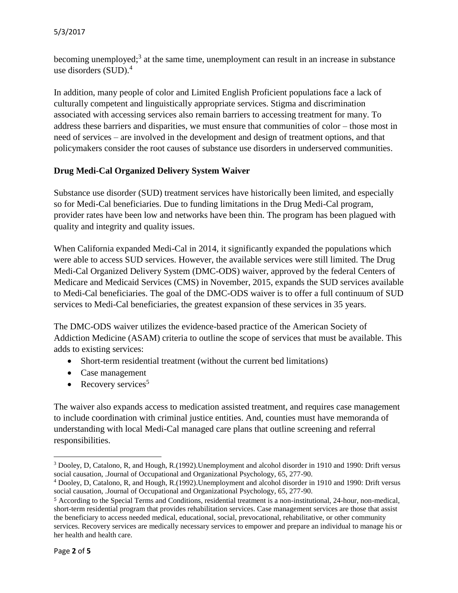#### 5/3/2017

becoming unemployed;<sup>3</sup> at the same time, unemployment can result in an increase in substance use disorders (SUD). 4

In addition, many people of color and Limited English Proficient populations face a lack of culturally competent and linguistically appropriate services. Stigma and discrimination associated with accessing services also remain barriers to accessing treatment for many. To address these barriers and disparities, we must ensure that communities of color – those most in need of services – are involved in the development and design of treatment options, and that policymakers consider the root causes of substance use disorders in underserved communities.

## **Drug Medi-Cal Organized Delivery System Waiver**

Substance use disorder (SUD) treatment services have historically been limited, and especially so for Medi-Cal beneficiaries. Due to funding limitations in the Drug Medi-Cal program, provider rates have been low and networks have been thin. The program has been plagued with quality and integrity and quality issues.

When California expanded Medi-Cal in 2014, it significantly expanded the populations which were able to access SUD services. However, the available services were still limited. The Drug Medi-Cal Organized Delivery System (DMC-ODS) waiver, approved by the federal Centers of Medicare and Medicaid Services (CMS) in November, 2015, expands the SUD services available to Medi-Cal beneficiaries. The goal of the DMC-ODS waiver is to offer a full continuum of SUD services to Medi-Cal beneficiaries, the greatest expansion of these services in 35 years.

The DMC-ODS waiver utilizes the evidence-based practice of the American Society of Addiction Medicine (ASAM) criteria to outline the scope of services that must be available. This adds to existing services:

- Short-term residential treatment (without the current bed limitations)
- Case management
- Recovery services $5$

The waiver also expands access to medication assisted treatment, and requires case management to include coordination with criminal justice entities. And, counties must have memoranda of understanding with local Medi-Cal managed care plans that outline screening and referral responsibilities.

 $\overline{a}$ 

<sup>3</sup> Dooley, D, Catalono, R, and Hough, R.(1992).Unemployment and alcohol disorder in 1910 and 1990: Drift versus social causation, .Journal of Occupational and Organizational Psychology, 65, 277-90.

<sup>4</sup> Dooley, D, Catalono, R, and Hough, R.(1992).Unemployment and alcohol disorder in 1910 and 1990: Drift versus social causation, .Journal of Occupational and Organizational Psychology, 65, 277-90.

<sup>5</sup> According to the Special Terms and Conditions, residential treatment is a non-institutional, 24-hour, non-medical, short-term residential program that provides rehabilitation services. Case management services are those that assist the beneficiary to access needed medical, educational, social, prevocational, rehabilitative, or other community services. Recovery services are medically necessary services to empower and prepare an individual to manage his or her health and health care.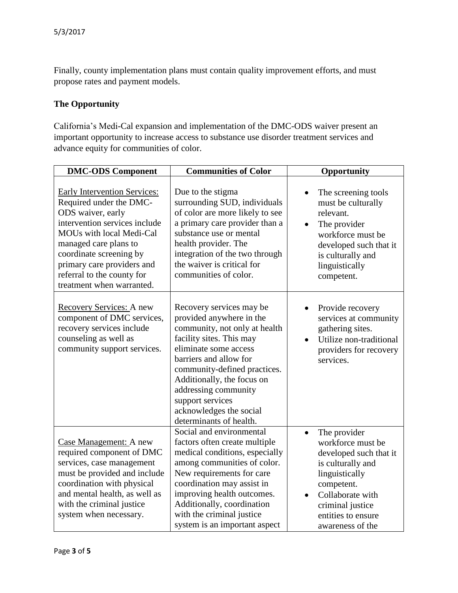Finally, county implementation plans must contain quality improvement efforts, and must propose rates and payment models.

#### **The Opportunity**

California's Medi-Cal expansion and implementation of the DMC-ODS waiver present an important opportunity to increase access to substance use disorder treatment services and advance equity for communities of color.

| <b>DMC-ODS Component</b>                                                                                                                                                                                                                                                                      | <b>Communities of Color</b>                                                                                                                                                                                                                                                                                                          | Opportunity                                                                                                                                                                                                                  |
|-----------------------------------------------------------------------------------------------------------------------------------------------------------------------------------------------------------------------------------------------------------------------------------------------|--------------------------------------------------------------------------------------------------------------------------------------------------------------------------------------------------------------------------------------------------------------------------------------------------------------------------------------|------------------------------------------------------------------------------------------------------------------------------------------------------------------------------------------------------------------------------|
| <b>Early Intervention Services:</b><br>Required under the DMC-<br>ODS waiver, early<br>intervention services include<br>MOUs with local Medi-Cal<br>managed care plans to<br>coordinate screening by<br>primary care providers and<br>referral to the county for<br>treatment when warranted. | Due to the stigma<br>surrounding SUD, individuals<br>of color are more likely to see<br>a primary care provider than a<br>substance use or mental<br>health provider. The<br>integration of the two through<br>the waiver is critical for<br>communities of color.                                                                   | The screening tools<br>must be culturally<br>relevant.<br>The provider<br>workforce must be<br>developed such that it<br>is culturally and<br>linguistically<br>competent.                                                   |
| Recovery Services: A new<br>component of DMC services,<br>recovery services include<br>counseling as well as<br>community support services.                                                                                                                                                   | Recovery services may be<br>provided anywhere in the<br>community, not only at health<br>facility sites. This may<br>eliminate some access<br>barriers and allow for<br>community-defined practices.<br>Additionally, the focus on<br>addressing community<br>support services<br>acknowledges the social<br>determinants of health. | Provide recovery<br>services at community<br>gathering sites.<br>Utilize non-traditional<br>providers for recovery<br>services.                                                                                              |
| Case Management: A new<br>required component of DMC<br>services, case management<br>must be provided and include<br>coordination with physical<br>and mental health, as well as<br>with the criminal justice<br>system when necessary.                                                        | Social and environmental<br>factors often create multiple<br>medical conditions, especially<br>among communities of color.<br>New requirements for care<br>coordination may assist in<br>improving health outcomes.<br>Additionally, coordination<br>with the criminal justice<br>system is an important aspect                      | The provider<br>$\bullet$<br>workforce must be<br>developed such that it<br>is culturally and<br>linguistically<br>competent.<br>Collaborate with<br>$\bullet$<br>criminal justice<br>entities to ensure<br>awareness of the |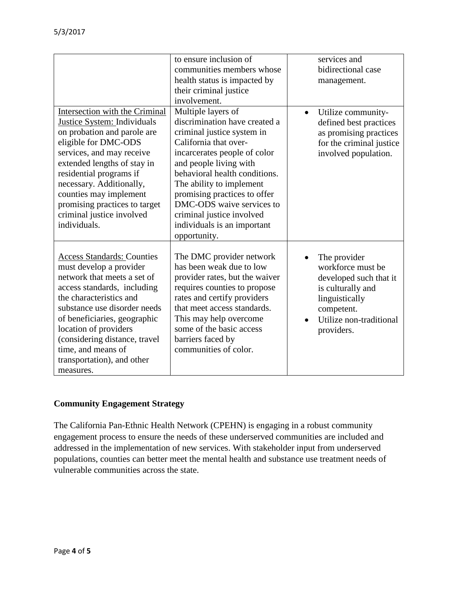|                                                                                                                                                                                                                                                                                                                                                  | to ensure inclusion of<br>communities members whose<br>health status is impacted by<br>their criminal justice<br>involvement.                                                                                                                                                                                                                                              | services and<br>bidirectional case<br>management.                                                                                                         |
|--------------------------------------------------------------------------------------------------------------------------------------------------------------------------------------------------------------------------------------------------------------------------------------------------------------------------------------------------|----------------------------------------------------------------------------------------------------------------------------------------------------------------------------------------------------------------------------------------------------------------------------------------------------------------------------------------------------------------------------|-----------------------------------------------------------------------------------------------------------------------------------------------------------|
| Intersection with the Criminal<br>Justice System: Individuals<br>on probation and parole are<br>eligible for DMC-ODS<br>services, and may receive<br>extended lengths of stay in<br>residential programs if<br>necessary. Additionally,<br>counties may implement<br>promising practices to target<br>criminal justice involved<br>individuals.  | Multiple layers of<br>discrimination have created a<br>criminal justice system in<br>California that over-<br>incarcerates people of color<br>and people living with<br>behavioral health conditions.<br>The ability to implement<br>promising practices to offer<br>DMC-ODS waive services to<br>criminal justice involved<br>individuals is an important<br>opportunity. | Utilize community-<br>defined best practices<br>as promising practices<br>for the criminal justice<br>involved population.                                |
| <b>Access Standards: Counties</b><br>must develop a provider<br>network that meets a set of<br>access standards, including<br>the characteristics and<br>substance use disorder needs<br>of beneficiaries, geographic<br>location of providers<br>(considering distance, travel<br>time, and means of<br>transportation), and other<br>measures. | The DMC provider network<br>has been weak due to low<br>provider rates, but the waiver<br>requires counties to propose<br>rates and certify providers<br>that meet access standards.<br>This may help overcome<br>some of the basic access<br>barriers faced by<br>communities of color.                                                                                   | The provider<br>workforce must be<br>developed such that it<br>is culturally and<br>linguistically<br>competent.<br>Utilize non-traditional<br>providers. |

## **Community Engagement Strategy**

The California Pan-Ethnic Health Network (CPEHN) is engaging in a robust community engagement process to ensure the needs of these underserved communities are included and addressed in the implementation of new services. With stakeholder input from underserved populations, counties can better meet the mental health and substance use treatment needs of vulnerable communities across the state.